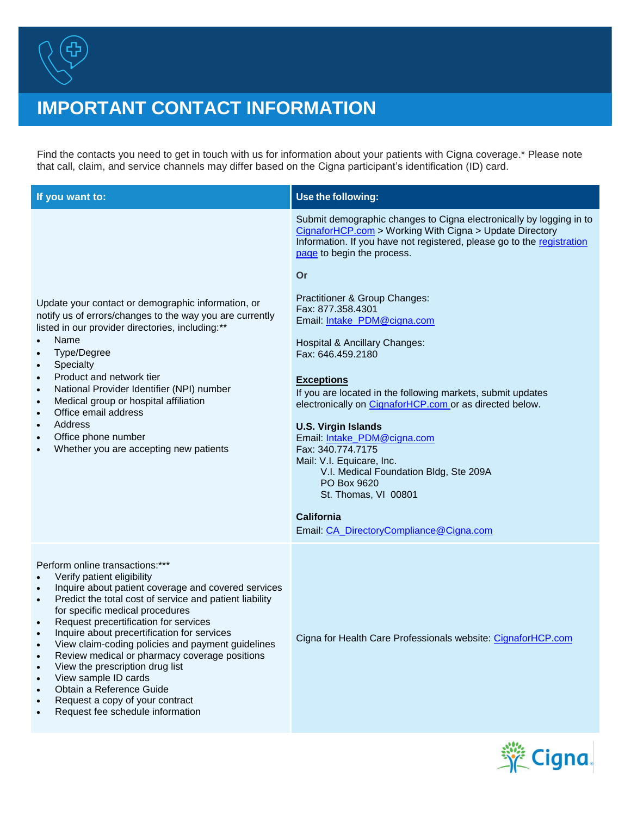

## **IMPORTANT CONTACT INFORMATION**

Find the contacts you need to get in touch with us for information about your patients with Cigna coverage.\* Please note that call, claim, and service channels may differ based on the Cigna participant's identification (ID) card.

| If you want to:                                                                                                                                                                                                                                                                                                                                                                                                                                                                                                                                                                                                                                                                                                  | Use the following:                                                                                                                                                                                                                                                                                                                                                                                                                                                                                                                                                                                                                                                                                                                                                                                     |
|------------------------------------------------------------------------------------------------------------------------------------------------------------------------------------------------------------------------------------------------------------------------------------------------------------------------------------------------------------------------------------------------------------------------------------------------------------------------------------------------------------------------------------------------------------------------------------------------------------------------------------------------------------------------------------------------------------------|--------------------------------------------------------------------------------------------------------------------------------------------------------------------------------------------------------------------------------------------------------------------------------------------------------------------------------------------------------------------------------------------------------------------------------------------------------------------------------------------------------------------------------------------------------------------------------------------------------------------------------------------------------------------------------------------------------------------------------------------------------------------------------------------------------|
| Update your contact or demographic information, or<br>notify us of errors/changes to the way you are currently<br>listed in our provider directories, including:**<br>Name<br>$\bullet$<br>Type/Degree<br>$\bullet$<br>Specialty<br>$\bullet$<br>Product and network tier<br>$\bullet$<br>National Provider Identifier (NPI) number<br>$\bullet$<br>Medical group or hospital affiliation<br>$\bullet$<br>Office email address<br>$\bullet$<br>Address<br>$\bullet$<br>Office phone number<br>$\bullet$<br>Whether you are accepting new patients<br>$\bullet$                                                                                                                                                   | Submit demographic changes to Cigna electronically by logging in to<br>CignaforHCP.com > Working With Cigna > Update Directory<br>Information. If you have not registered, please go to the registration<br>page to begin the process.<br>Or<br>Practitioner & Group Changes:<br>Fax: 877.358.4301<br>Email: Intake PDM@cigna.com<br>Hospital & Ancillary Changes:<br>Fax: 646.459.2180<br><b>Exceptions</b><br>If you are located in the following markets, submit updates<br>electronically on CignaforHCP.com or as directed below.<br><b>U.S. Virgin Islands</b><br>Email: Intake PDM@cigna.com<br>Fax: 340.774.7175<br>Mail: V.I. Equicare, Inc.<br>V.I. Medical Foundation Bldg, Ste 209A<br>PO Box 9620<br>St. Thomas, VI 00801<br><b>California</b><br>Email: CA DirectoryCompliance@Cigna.com |
| Perform online transactions:***<br>Verify patient eligibility<br>$\bullet$<br>Inquire about patient coverage and covered services<br>$\bullet$<br>Predict the total cost of service and patient liability<br>$\bullet$<br>for specific medical procedures<br>Request precertification for services<br>$\bullet$<br>Inquire about precertification for services<br>$\bullet$<br>View claim-coding policies and payment guidelines<br>Review medical or pharmacy coverage positions<br>$\bullet$<br>View the prescription drug list<br>$\bullet$<br>View sample ID cards<br>$\bullet$<br>Obtain a Reference Guide<br>$\bullet$<br>Request a copy of your contract<br>$\bullet$<br>Request fee schedule information | Cigna for Health Care Professionals website: CignaforHCP.com                                                                                                                                                                                                                                                                                                                                                                                                                                                                                                                                                                                                                                                                                                                                           |

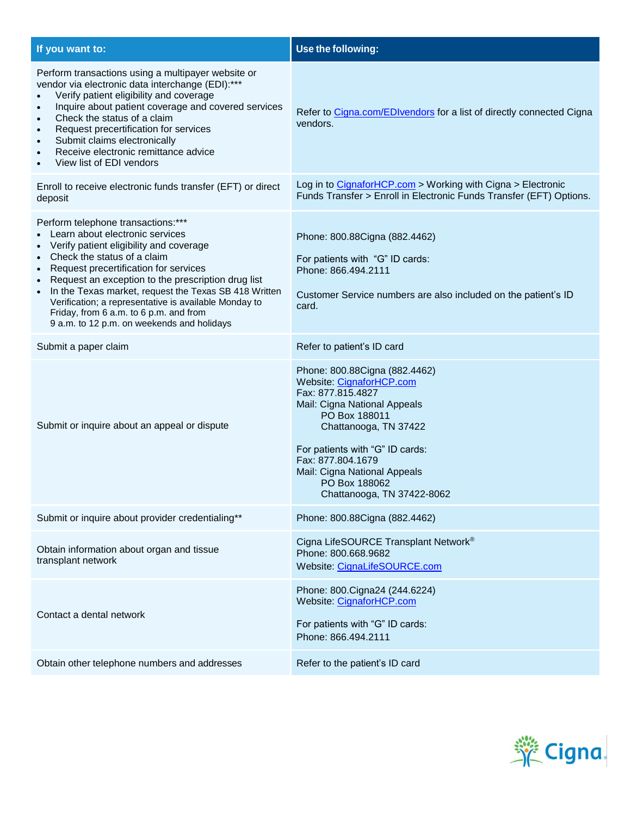| If you want to:                                                                                                                                                                                                                                                                                                                                                                                                                                                                                              | Use the following:                                                                                                                                                                                                                                                                              |
|--------------------------------------------------------------------------------------------------------------------------------------------------------------------------------------------------------------------------------------------------------------------------------------------------------------------------------------------------------------------------------------------------------------------------------------------------------------------------------------------------------------|-------------------------------------------------------------------------------------------------------------------------------------------------------------------------------------------------------------------------------------------------------------------------------------------------|
| Perform transactions using a multipayer website or<br>vendor via electronic data interchange (EDI):***<br>Verify patient eligibility and coverage<br>Inquire about patient coverage and covered services<br>$\bullet$<br>Check the status of a claim<br>$\bullet$<br>Request precertification for services<br>$\bullet$<br>Submit claims electronically<br>$\bullet$<br>Receive electronic remittance advice<br>$\bullet$<br>View list of EDI vendors                                                        | Refer to Cigna.com/EDIvendors for a list of directly connected Cigna<br>vendors.                                                                                                                                                                                                                |
| Enroll to receive electronic funds transfer (EFT) or direct<br>deposit                                                                                                                                                                                                                                                                                                                                                                                                                                       | Log in to CignaforHCP.com > Working with Cigna > Electronic<br>Funds Transfer > Enroll in Electronic Funds Transfer (EFT) Options.                                                                                                                                                              |
| Perform telephone transactions:***<br>Learn about electronic services<br>Verify patient eligibility and coverage<br>$\bullet$<br>Check the status of a claim<br>$\bullet$<br>Request precertification for services<br>Request an exception to the prescription drug list<br>$\bullet$<br>In the Texas market, request the Texas SB 418 Written<br>$\bullet$<br>Verification; a representative is available Monday to<br>Friday, from 6 a.m. to 6 p.m. and from<br>9 a.m. to 12 p.m. on weekends and holidays | Phone: 800.88Cigna (882.4462)<br>For patients with "G" ID cards:<br>Phone: 866.494.2111<br>Customer Service numbers are also included on the patient's ID<br>card.                                                                                                                              |
| Submit a paper claim                                                                                                                                                                                                                                                                                                                                                                                                                                                                                         | Refer to patient's ID card                                                                                                                                                                                                                                                                      |
| Submit or inquire about an appeal or dispute                                                                                                                                                                                                                                                                                                                                                                                                                                                                 | Phone: 800.88Cigna (882.4462)<br>Website: CignaforHCP.com<br>Fax: 877.815.4827<br>Mail: Cigna National Appeals<br>PO Box 188011<br>Chattanooga, TN 37422<br>For patients with "G" ID cards:<br>Fax: 877.804.1679<br>Mail: Cigna National Appeals<br>PO Box 188062<br>Chattanooga, TN 37422-8062 |
| Submit or inquire about provider credentialing**                                                                                                                                                                                                                                                                                                                                                                                                                                                             | Phone: 800.88Cigna (882.4462)                                                                                                                                                                                                                                                                   |
| Obtain information about organ and tissue<br>transplant network                                                                                                                                                                                                                                                                                                                                                                                                                                              | Cigna LifeSOURCE Transplant Network <sup>®</sup><br>Phone: 800.668.9682<br>Website: CignaLifeSOURCE.com                                                                                                                                                                                         |
| Contact a dental network                                                                                                                                                                                                                                                                                                                                                                                                                                                                                     | Phone: 800. Cigna 24 (244. 6224)<br>Website: CignaforHCP.com<br>For patients with "G" ID cards:<br>Phone: 866.494.2111                                                                                                                                                                          |
| Obtain other telephone numbers and addresses                                                                                                                                                                                                                                                                                                                                                                                                                                                                 | Refer to the patient's ID card                                                                                                                                                                                                                                                                  |